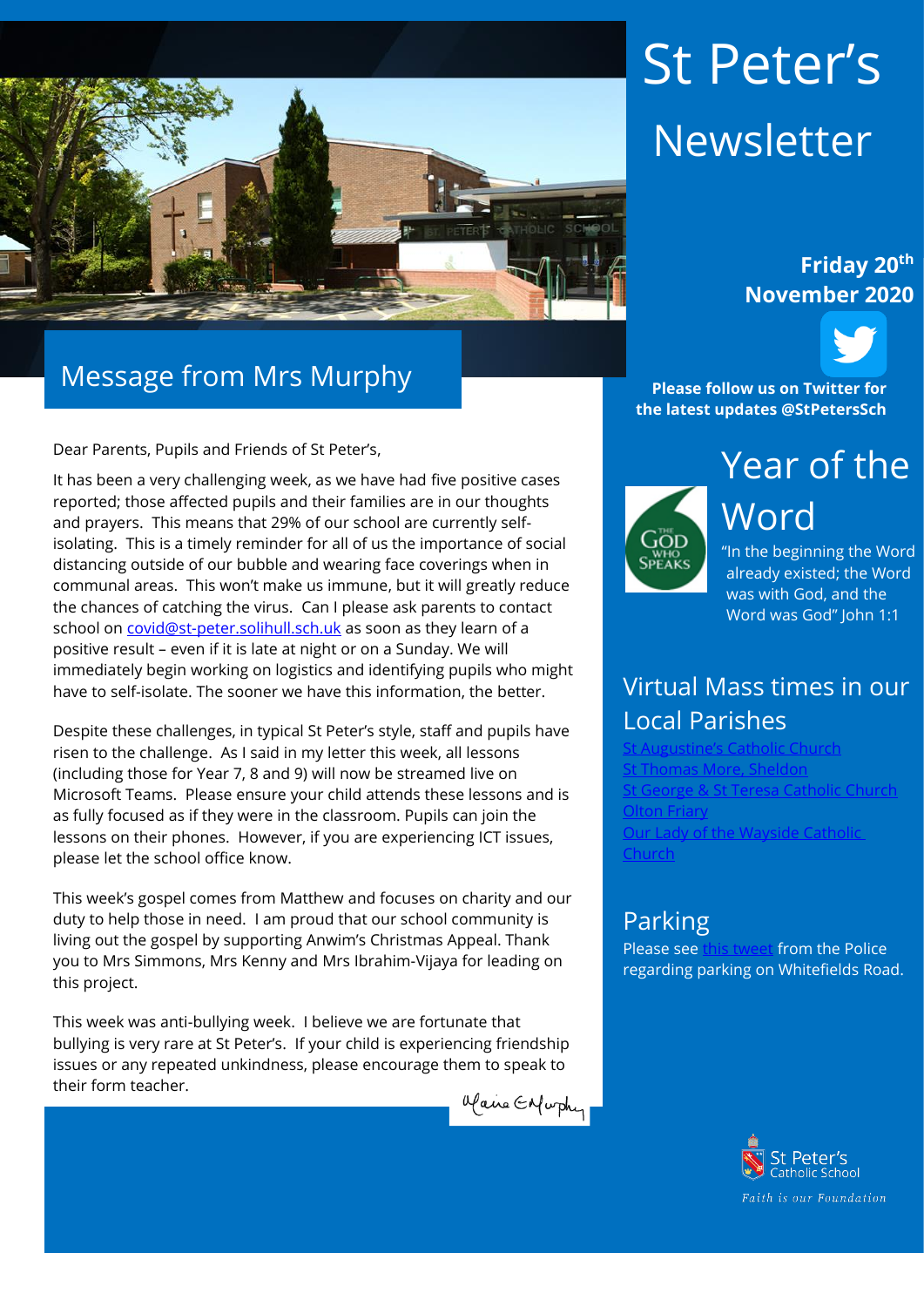

## Message from Mrs Murphy

Dear Parents, Pupils and Friends of St Peter's,

It has been a very challenging week, as we have had five positive cases reported; those affected pupils and their families are in our thoughts and prayers. This means that 29% of our school are currently selfisolating. This is a timely reminder for all of us the importance of social distancing outside of our bubble and wearing face coverings when in communal areas. This won't make us immune, but it will greatly reduce the chances of catching the virus. Can I please ask parents to contact school on [covid@st-peter.solihull.sch.uk](mailto:covid@st-peter.solihull.sch.uk) as soon as they learn of a positive result – even if it is late at night or on a Sunday. We will immediately begin working on logistics and identifying pupils who might have to self-isolate. The sooner we have this information, the better.

Despite these challenges, in typical St Peter's style, staff and pupils have risen to the challenge. As I said in my letter this week, all lessons (including those for Year 7, 8 and 9) will now be streamed live on Microsoft Teams. Please ensure your child attends these lessons and is as fully focused as if they were in the classroom. Pupils can join the lessons on their phones. However, if you are experiencing ICT issues, please let the school office know.

This week's gospel comes from Matthew and focuses on charity and our duty to help those in need. I am proud that our school community is living out the gospel by supporting Anwim's Christmas Appeal. Thank you to Mrs Simmons, Mrs Kenny and Mrs Ibrahim-Vijaya for leading on this project.

This week was anti-bullying week. I believe we are fortunate that bullying is very rare at St Peter's. If your child is experiencing friendship issues or any repeated unkindness, please encourage them to speak to their form teacher.



# St Peter's Newsletter

#### **Friday 20th November 2020**



**Please follow us on Twitter for the latest updates @StPetersSch**



Word "In the beginning the Word

already existed; the Word was with God, and the Word was God" John 1:1

## Virtual Mass times in our Local Parishes

**[St Augustine's Catholic Church](https://www.staugustinesolihull.org.uk/welcome/mass-book-your-place/)** [St Thomas More, Sheldon](https://www.stthomasmorercchurch.com/) George & St Teresa Catholic Church [Olton Friary](https://www.oltonfriary.org.uk/) [Our Lady of the Wayside Catholic](http://ourladyofthewaysidechurchshirley.co.uk/)  [Church](http://ourladyofthewaysidechurchshirley.co.uk/)

#### Parking

Please se[e this tweet](https://twitter.com/StAlphegeWMP/status/1329343316132048900?s=20) from the Police regarding parking on Whitefields Road.

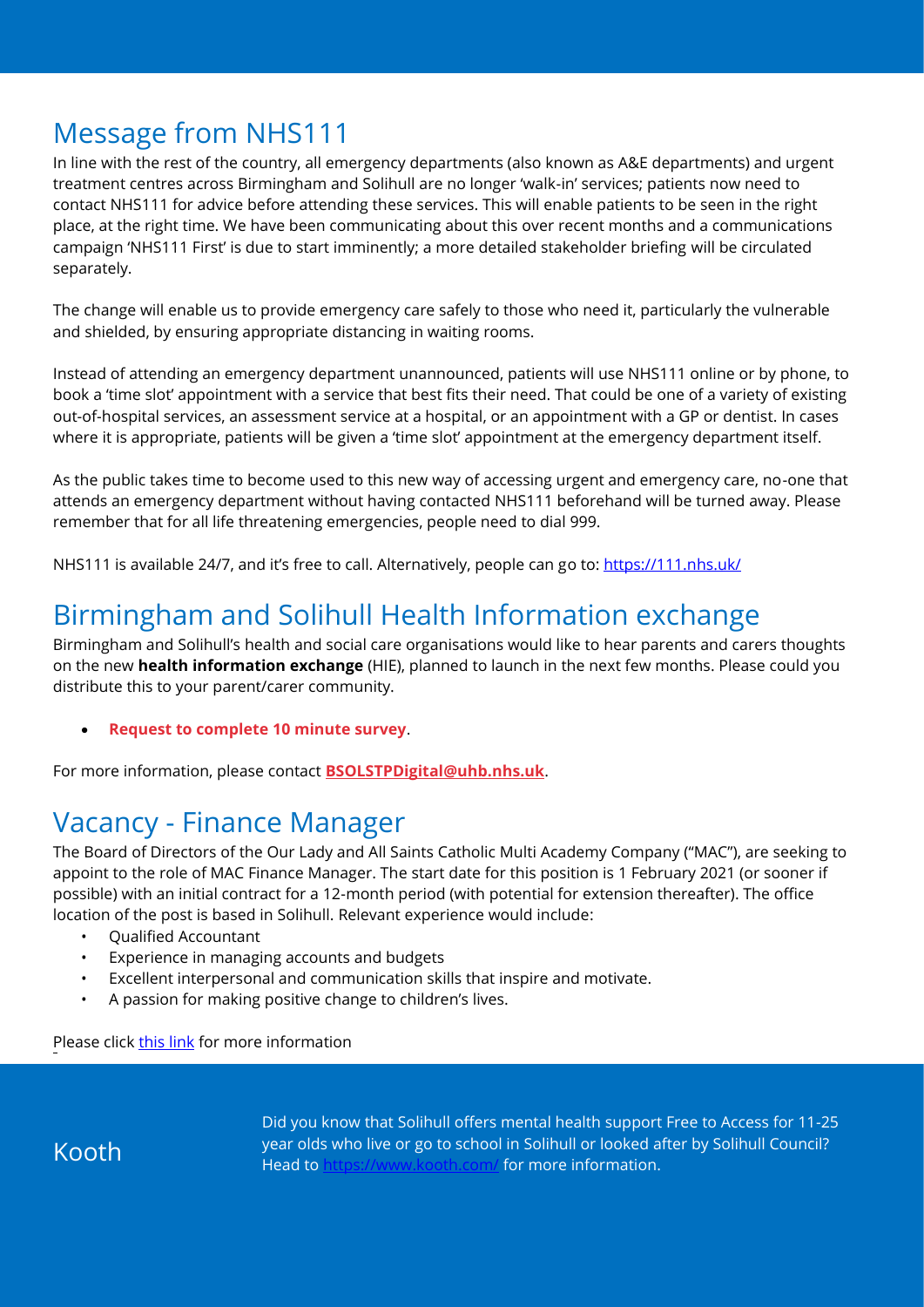# Message from NHS111

In line with the rest of the country, all emergency departments (also known as A&E departments) and urgent treatment centres across Birmingham and Solihull are no longer 'walk-in' services; patients now need to contact NHS111 for advice before attending these services. This will enable patients to be seen in the right place, at the right time. We have been communicating about this over recent months and a communications campaign 'NHS111 First' is due to start imminently; a more detailed stakeholder briefing will be circulated separately.

The change will enable us to provide emergency care safely to those who need it, particularly the vulnerable and shielded, by ensuring appropriate distancing in waiting rooms.

Instead of attending an emergency department unannounced, patients will use NHS111 online or by phone, to book a 'time slot' appointment with a service that best fits their need. That could be one of a variety of existing out-of-hospital services, an assessment service at a hospital, or an appointment with a GP or dentist. In cases where it is appropriate, patients will be given a 'time slot' appointment at the emergency department itself.

As the public takes time to become used to this new way of accessing urgent and emergency care, no-one that attends an emergency department without having contacted NHS111 beforehand will be turned away. Please remember that for all life threatening emergencies, people need to dial 999.

NHS111 is available 24/7, and it's free to call. Alternatively, people can go to:<https://111.nhs.uk/>

## Birmingham and Solihull Health Information exchange

Birmingham and Solihull's health and social care organisations would like to hear parents and carers thoughts on the new **health information exchange** (HIE), planned to launch in the next few months. Please could you distribute this to your parent/carer community.

• **[Request to complete 10 minute survey](https://protect-eu.mimecast.com/s/dTEmCwKy0SvxOVcRdOw0?domain=lnks.gd)**.

For more information, please contact **[BSOLSTPDigital@uhb.nhs.uk](mailto:BSOLSTPDigital@uhb.nhs.uk)**.

## Vacancy - Finance Manager

The Board of Directors of the Our Lady and All Saints Catholic Multi Academy Company ("MAC"), are seeking to appoint to the role of MAC Finance Manager. The start date for this position is 1 February 2021 (or sooner if possible) with an initial contract for a 12-month period (with potential for extension thereafter). The office location of the post is based in Solihull. Relevant experience would include:

- Qualified Accountant
- Experience in managing accounts and budgets
- Excellent interpersonal and communication skills that inspire and motivate.
- A passion for making positive change to children's lives.

Please click [this](https://www.linkedin.com/posts/our-lady-and-all-saints-catholic-multi-academy-company-7987171aa_opportunity-accountant-jobs-activity-6734508038281023488-n1KY) link for more information

Kooth

Did you know that Solihull offers mental health support Free to Access for 11-25 year olds who live or go to school in Solihull or looked after by Solihull Council? Head to<https://www.kooth.com/> for more information.